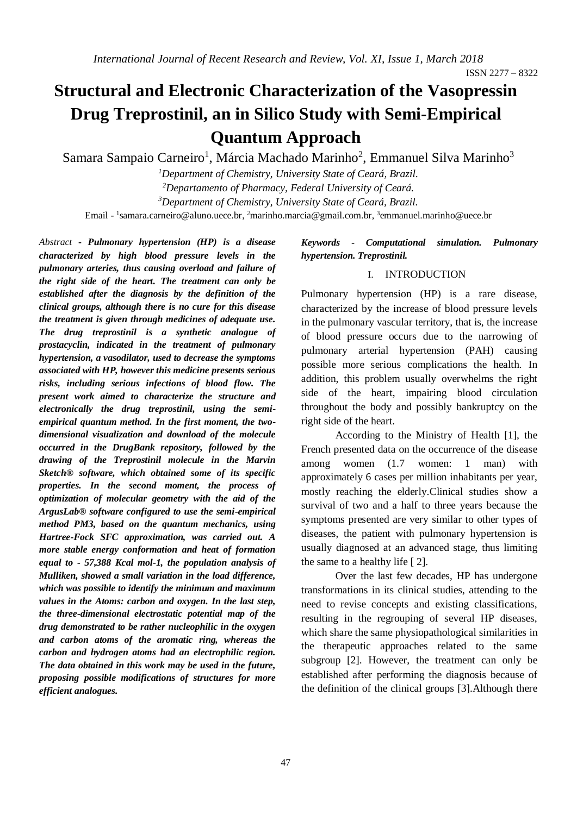# **Structural and Electronic Characterization of the Vasopressin Drug Treprostinil, an in Silico Study with Semi-Empirical Quantum Approach**

Samara Sampaio Carneiro<sup>1</sup>, Márcia Machado Marinho<sup>2</sup>, Emmanuel Silva Marinho<sup>3</sup>

*<sup>1</sup>Department of Chemistry, University State of Ceará, Brazil. <sup>2</sup>Departamento of Pharmacy, Federal University of Ceará.*

*<sup>3</sup>Department of Chemistry, University State of Ceará, Brazil.*

Email - <sup>1</sup>[samara.carneiro@aluno.uece.br,](mailto:1samara.carneiro@aluno.uece.br) <sup>2</sup>[marinho.marcia@gmail.com.br,](mailto:2marinho.marcia@gmail.com.br) <sup>3</sup>emmanuel.marinho@uece.br

*Abstract* **-** *Pulmonary hypertension (HP) is a disease characterized by high blood pressure levels in the pulmonary arteries, thus causing overload and failure of the right side of the heart. The treatment can only be established after the diagnosis by the definition of the clinical groups, although there is no cure for this disease the treatment is given through medicines of adequate use. The drug treprostinil is a synthetic analogue of prostacyclin, indicated in the treatment of pulmonary hypertension, a vasodilator, used to decrease the symptoms associated with HP, however this medicine presents serious risks, including serious infections of blood flow. The present work aimed to characterize the structure and electronically the drug treprostinil, using the semiempirical quantum method. In the first moment, the twodimensional visualization and download of the molecule occurred in the DrugBank repository, followed by the drawing of the Treprostinil molecule in the Marvin Sketch® software, which obtained some of its specific properties. In the second moment, the process of optimization of molecular geometry with the aid of the ArgusLab® software configured to use the semi-empirical method PM3, based on the quantum mechanics, using Hartree-Fock SFC approximation, was carried out. A more stable energy conformation and heat of formation equal to - 57,388 Kcal mol-1, the population analysis of Mulliken, showed a small variation in the load difference, which was possible to identify the minimum and maximum values in the Atoms: carbon and oxygen. In the last step, the three-dimensional electrostatic potential map of the drug demonstrated to be rather nucleophilic in the oxygen and carbon atoms of the aromatic ring, whereas the carbon and hydrogen atoms had an electrophilic region. The data obtained in this work may be used in the future, proposing possible modifications of structures for more efficient analogues.*

# *Keywords - Computational simulation. Pulmonary hypertension. Treprostinil.*

#### I. INTRODUCTION

Pulmonary hypertension (HP) is a rare disease, characterized by the increase of blood pressure levels in the pulmonary vascular territory, that is, the increase of blood pressure occurs due to the narrowing of pulmonary arterial hypertension (PAH) causing possible more serious complications the health. In addition, this problem usually overwhelms the right side of the heart, impairing blood circulation throughout the body and possibly bankruptcy on the right side of the heart.

According to the Ministry of Health [1], the French presented data on the occurrence of the disease among women (1.7 women: 1 man) with approximately 6 cases per million inhabitants per year, mostly reaching the elderly.Clinical studies show a survival of two and a half to three years because the symptoms presented are very similar to other types of diseases, the patient with pulmonary hypertension is usually diagnosed at an advanced stage, thus limiting the same to a healthy life [ 2].

Over the last few decades, HP has undergone transformations in its clinical studies, attending to the need to revise concepts and existing classifications, resulting in the regrouping of several HP diseases, which share the same physiopathological similarities in the therapeutic approaches related to the same subgroup [2]. However, the treatment can only be established after performing the diagnosis because of the definition of the clinical groups [3].Although there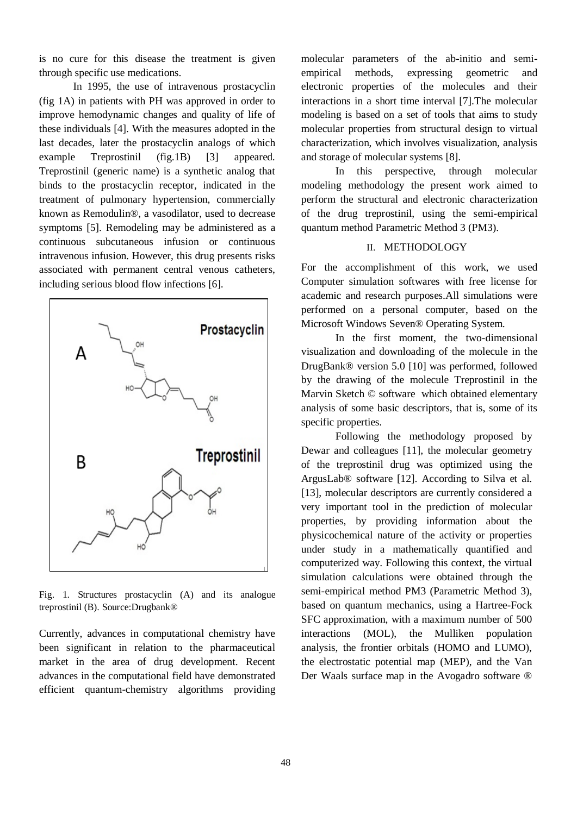is no cure for this disease the treatment is given through specific use medications.

In 1995, the use of intravenous prostacyclin (fig 1A) in patients with PH was approved in order to improve hemodynamic changes and quality of life of these individuals [4]. With the measures adopted in the last decades, later the prostacyclin analogs of which example Treprostinil (fig.1B) [3] appeared. Treprostinil (generic name) is a synthetic analog that binds to the prostacyclin receptor, indicated in the treatment of pulmonary hypertension, commercially known as Remodulin®, a vasodilator, used to decrease symptoms [5]. Remodeling may be administered as a continuous subcutaneous infusion or continuous intravenous infusion. However, this drug presents risks associated with permanent central venous catheters, including serious blood flow infections [6].



Fig. 1. Structures prostacyclin (A) and its analogue treprostinil (B). Source:Drugbank®

Currently, advances in computational chemistry have been significant in relation to the pharmaceutical market in the area of drug development. Recent advances in the computational field have demonstrated efficient quantum-chemistry algorithms providing

molecular parameters of the ab-initio and semiempirical methods, expressing geometric and electronic properties of the molecules and their interactions in a short time interval [7].The molecular modeling is based on a set of tools that aims to study molecular properties from structural design to virtual characterization, which involves visualization, analysis and storage of molecular systems [8].

In this perspective, through molecular modeling methodology the present work aimed to perform the structural and electronic characterization of the drug treprostinil, using the semi-empirical quantum method Parametric Method 3 (PM3).

#### II. METHODOLOGY

For the accomplishment of this work, we used Computer simulation softwares with free license for academic and research purposes.All simulations were performed on a personal computer, based on the Microsoft Windows Seven® Operating System.

In the first moment, the two-dimensional visualization and downloading of the molecule in the DrugBank® version 5.0 [10] was performed, followed by the drawing of the molecule Treprostinil in the Marvin Sketch © software which obtained elementary analysis of some basic descriptors, that is, some of its specific properties.

Following the methodology proposed by Dewar and colleagues [11], the molecular geometry of the treprostinil drug was optimized using the ArgusLab® software [12]. According to Silva et al. [13], molecular descriptors are currently considered a very important tool in the prediction of molecular properties, by providing information about the physicochemical nature of the activity or properties under study in a mathematically quantified and computerized way. Following this context, the virtual simulation calculations were obtained through the semi-empirical method PM3 (Parametric Method 3), based on quantum mechanics, using a Hartree-Fock SFC approximation, with a maximum number of 500 interactions (MOL), the Mulliken population analysis, the frontier orbitals (HOMO and LUMO), the electrostatic potential map (MEP), and the Van Der Waals surface map in the Avogadro software ®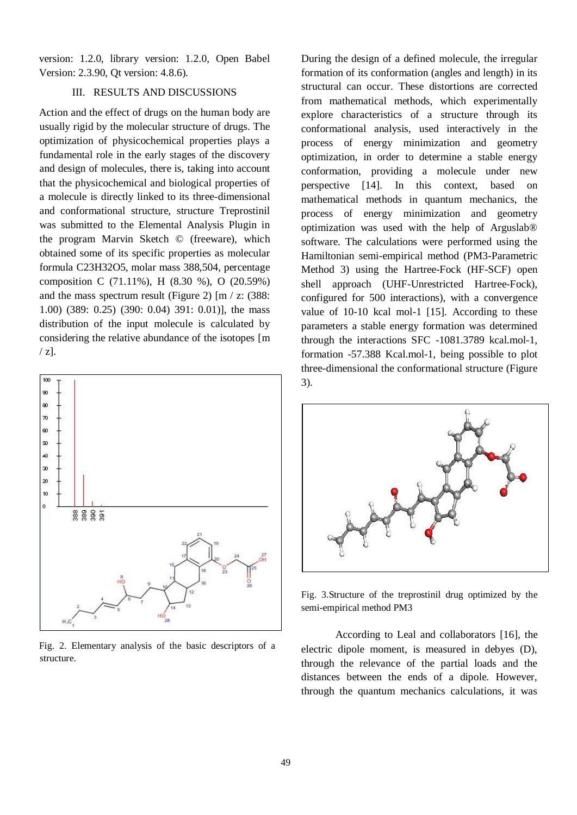version: 1.2.0, library version: 1.2.0, Open Babel Version: 2.3.90, Qt version: 4.8.6).

# III. RESULTS AND DISCUSSIONS

Action and the effect of drugs on the human body are usually rigid by the molecular structure of drugs. The optimization of physicochemical properties plays a fundamental role in the early stages of the discovery and design of molecules, there is, taking into account that the physicochemical and biological properties of a molecule is directly linked to its three-dimensional and conformational structure, structure Treprostinil was submitted to the Elemental Analysis Plugin in the program Marvin Sketch © (freeware), which obtained some of its specific properties as molecular formula C23H32O5, molar mass 388,504, percentage composition C (71.11%), H (8.30 %), O (20.59%) and the mass spectrum result (Figure 2)  $\text{Im }$  / z: (388: 1.00) (389: 0.25) (390: 0.04) 391: 0.01)], the mass distribution of the input molecule is calculated by considering the relative abundance of the isotopes [m  $\angle$  z].



Fig. 2. Elementary analysis of the basic descriptors of a structure.

During the design of a defined molecule, the irregular formation of its conformation (angles and length) in its structural can occur. These distortions are corrected from mathematical methods, which experimentally explore characteristics of a structure through its conformational analysis, used interactively in the process of energy minimization and geometry optimization, in order to determine a stable energy conformation, providing a molecule under new perspective [14]. In this context, based on mathematical methods in quantum mechanics, the process of energy minimization and geometry optimization was used with the help of Arguslab® software. The calculations were performed using the Hamiltonian semi-empirical method (PM3-Parametric Method 3) using the Hartree-Fock (HF-SCF) open shell approach (UHF-Unrestricted Hartree-Fock), configured for 500 interactions), with a convergence value of 10-10 kcal mol-1 [15]. According to these parameters a stable energy formation was determined through the interactions SFC -1081.3789 kcal.mol-1, formation -57.388 Kcal.mol-1, being possible to plot three-dimensional the conformational structure (Figure 3).



Fig. 3.Structure of the treprostinil drug optimized by the semi-empirical method PM3

According to Leal and collaborators [16], the electric dipole moment, is measured in debyes (D), through the relevance of the partial loads and the distances between the ends of a dipole. However, through the quantum mechanics calculations, it was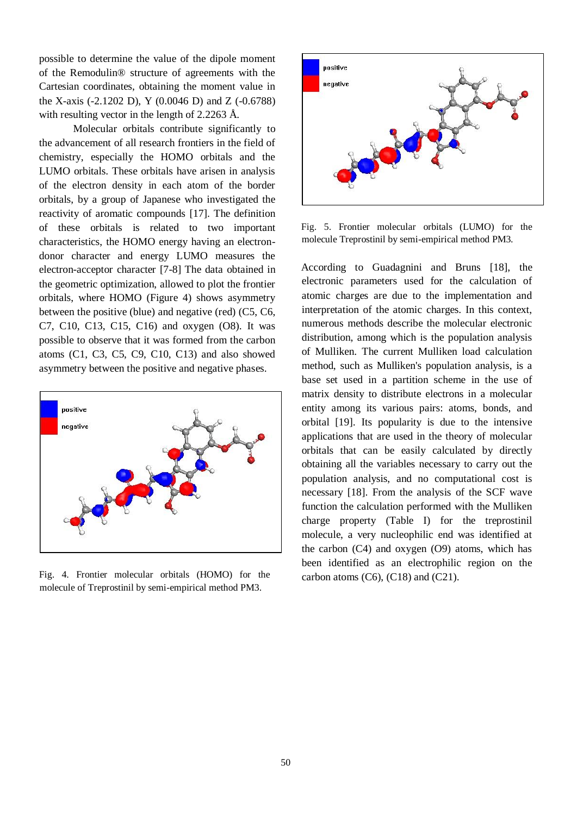possible to determine the value of the dipole moment of the Remodulin® structure of agreements with the Cartesian coordinates, obtaining the moment value in the X-axis (-2.1202 D), Y (0.0046 D) and Z (-0.6788) with resulting vector in the length of 2.2263 Å.

Molecular orbitals contribute significantly to the advancement of all research frontiers in the field of chemistry, especially the HOMO orbitals and the LUMO orbitals. These orbitals have arisen in analysis of the electron density in each atom of the border orbitals, by a group of Japanese who investigated the reactivity of aromatic compounds [17]. The definition of these orbitals is related to two important characteristics, the HOMO energy having an electrondonor character and energy LUMO measures the electron-acceptor character [7-8] The data obtained in the geometric optimization, allowed to plot the frontier orbitals, where HOMO (Figure 4) shows asymmetry between the positive (blue) and negative (red) (C5, C6, C7, C10, C13, C15, C16) and oxygen (O8). It was possible to observe that it was formed from the carbon atoms (C1, C3, C5, C9, C10, C13) and also showed asymmetry between the positive and negative phases.



Fig. 4. Frontier molecular orbitals (HOMO) for the molecule of Treprostinil by semi-empirical method PM3.



Fig. 5. Frontier molecular orbitals (LUMO) for the molecule Treprostinil by semi-empirical method PM3.

According to Guadagnini and Bruns [18], the electronic parameters used for the calculation of atomic charges are due to the implementation and interpretation of the atomic charges. In this context, numerous methods describe the molecular electronic distribution, among which is the population analysis of Mulliken. The current Mulliken load calculation method, such as Mulliken's population analysis, is a base set used in a partition scheme in the use of matrix density to distribute electrons in a molecular entity among its various pairs: atoms, bonds, and orbital [19]. Its popularity is due to the intensive applications that are used in the theory of molecular orbitals that can be easily calculated by directly obtaining all the variables necessary to carry out the population analysis, and no computational cost is necessary [18]. From the analysis of the SCF wave function the calculation performed with the Mulliken charge property (Table I) for the treprostinil molecule, a very nucleophilic end was identified at the carbon (C4) and oxygen (O9) atoms, which has been identified as an electrophilic region on the carbon atoms  $(C6)$ ,  $(C18)$  and  $(C21)$ .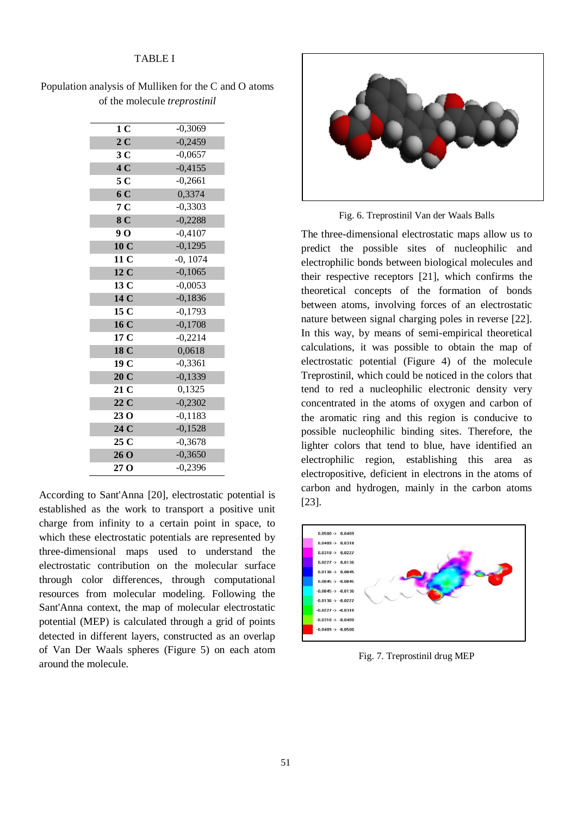# TABLE I

Population analysis of Mulliken for the C and O atoms of the molecule *treprostinil*

| 1 <sub>C</sub>  | $-0,3069$  |
|-----------------|------------|
| 2 <sub>C</sub>  | $-0,2459$  |
| 3C              | $-0,0657$  |
| 4C              | $-0,4155$  |
| 5 <sub>C</sub>  | $-0,2661$  |
| 6 C             | 0,3374     |
| 7 <sub>C</sub>  | $-0,3303$  |
| 8 C             | $-0,2288$  |
| 9 <sub>0</sub>  | $-0,4107$  |
| 10 <sub>C</sub> | $-0,1295$  |
| 11 C            | $-0, 1074$ |
| 12 <sub>C</sub> | $-0,1065$  |
| 13 <sub>C</sub> | $-0,0053$  |
| 14 C            | $-0,1836$  |
| 15 <sub>C</sub> | $-0,1793$  |
| 16C             | $-0,1708$  |
| 17 C            | $-0,2214$  |
| 18 C            | 0,0618     |
| 19 C            | $-0,3361$  |
| 20 C            | $-0,1339$  |
| 21 <sub>C</sub> | 0,1325     |
| 22C             | $-0,2302$  |
| 23 <sub>O</sub> | $-0,1183$  |
| 24 C            | $-0,1528$  |
| 25 C            | $-0,3678$  |
| 26 O            | $-0,3650$  |
| 27 <sub>0</sub> | $-0,2396$  |

According to Sant'Anna [20], electrostatic potential is established as the work to transport a positive unit charge from infinity to a certain point in space, to which these electrostatic potentials are represented by three-dimensional maps used to understand the electrostatic contribution on the molecular surface through color differences, through computational resources from molecular modeling. Following the Sant'Anna context, the map of molecular electrostatic potential (MEP) is calculated through a grid of points detected in different layers, constructed as an overlap of Van Der Waals spheres (Figure 5) on each atom around the molecule.



Fig. 6. Treprostinil Van der Waals Balls

The three-dimensional electrostatic maps allow us to predict the possible sites of nucleophilic and electrophilic bonds between biological molecules and their respective receptors [21], which confirms the theoretical concepts of the formation of bonds between atoms, involving forces of an electrostatic nature between signal charging poles in reverse [22]. In this way, by means of semi-empirical theoretical calculations, it was possible to obtain the map of electrostatic potential (Figure 4) of the molecule Treprostinil, which could be noticed in the colors that tend to red a nucleophilic electronic density very concentrated in the atoms of oxygen and carbon of the aromatic ring and this region is conducive to possible nucleophilic binding sites. Therefore, the lighter colors that tend to blue, have identified an electrophilic region, establishing this area as electropositive, deficient in electrons in the atoms of carbon and hydrogen, mainly in the carbon atoms [23].



Fig. 7. Treprostinil drug MEP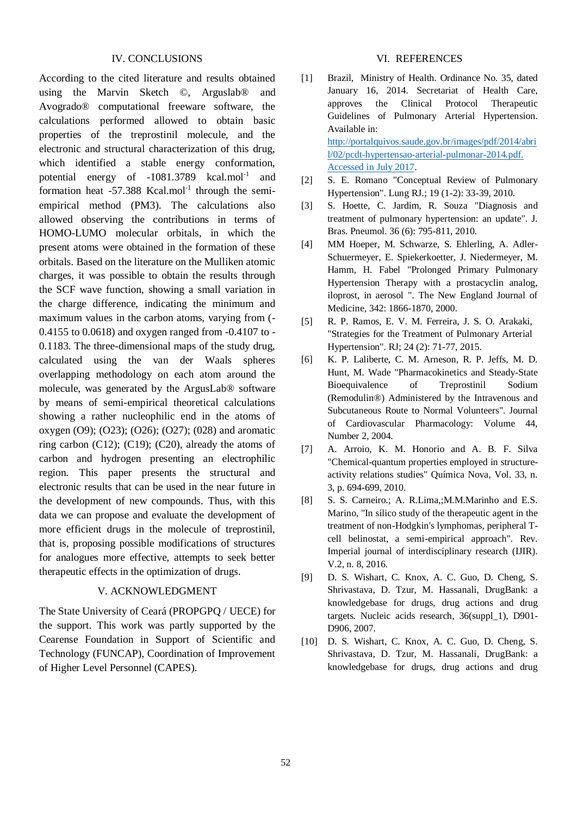# IV. CONCLUSIONS

According to the cited literature and results obtained using the Marvin Sketch ©, Arguslab® and Avogrado® computational freeware software, the calculations performed allowed to obtain basic properties of the treprostinil molecule, and the electronic and structural characterization of this drug, which identified a stable energy conformation, potential energy of  $-1081.3789$  kcal.mol<sup>-1</sup> and formation heat  $-57.388$  Kcal.mol<sup>-1</sup> through the semiempirical method (PM3). The calculations also allowed observing the contributions in terms of HOMO-LUMO molecular orbitals, in which the present atoms were obtained in the formation of these orbitals. Based on the literature on the Mulliken atomic charges, it was possible to obtain the results through the SCF wave function, showing a small variation in the charge difference, indicating the minimum and maximum values in the carbon atoms, varying from (- 0.4155 to 0.0618) and oxygen ranged from -0.4107 to - 0.1183. The three-dimensional maps of the study drug, calculated using the van der Waals spheres overlapping methodology on each atom around the molecule, was generated by the ArgusLab® software by means of semi-empirical theoretical calculations showing a rather nucleophilic end in the atoms of oxygen (O9); (O23); (O26); (O27); (028) and aromatic ring carbon  $(C12)$ ;  $(C19)$ ;  $(C20)$ , already the atoms of carbon and hydrogen presenting an electrophilic region. This paper presents the structural and electronic results that can be used in the near future in the development of new compounds. Thus, with this data we can propose and evaluate the development of more efficient drugs in the molecule of treprostinil, that is, proposing possible modifications of structures for analogues more effective, attempts to seek better therapeutic effects in the optimization of drugs.

# V. ACKNOWLEDGMENT

The State University of Ceará (PROPGPQ / UECE) for the support. This work was partly supported by the Cearense Foundation in Support of Scientific and Technology (FUNCAP), Coordination of Improvement of Higher Level Personnel (CAPES).

# VI. REFERENCES

- [1] Brazil, Ministry of Health. Ordinance No. 35, dated January 16, 2014. Secretariat of Health Care, approves the Clinical Protocol Therapeutic Guidelines of Pulmonary Arterial Hypertension. Available in: [http://portalquivos.saude.gov.br/images/pdf/2014/abri](http://portalquivos.saude.gov.br/images/pdf/2014/abril/02/pcdt-hypertensao-arterial-pulmonar-2014.pdf.%20Accessed%20in%20July%202017) [l/02/pcdt-hypertensao-arterial-pulmonar-2014.pdf.](http://portalquivos.saude.gov.br/images/pdf/2014/abril/02/pcdt-hypertensao-arterial-pulmonar-2014.pdf.%20Accessed%20in%20July%202017)  [Accessed in July 2017.](http://portalquivos.saude.gov.br/images/pdf/2014/abril/02/pcdt-hypertensao-arterial-pulmonar-2014.pdf.%20Accessed%20in%20July%202017)
- [2] S. E. Romano "Conceptual Review of Pulmonary Hypertension". Lung RJ.; 19 (1-2): 33-39, 2010.
- [3] S. Hoette, C. Jardim, R. Souza "Diagnosis and treatment of pulmonary hypertension: an update". J. Bras. Pneumol. 36 (6): 795-811, 2010.
- [4] MM Hoeper, M. Schwarze, S. Ehlerling, A. Adler-Schuermeyer, E. Spiekerkoetter, J. Niedermeyer, M. Hamm, H. Fabel "Prolonged Primary Pulmonary Hypertension Therapy with a prostacyclin analog, iloprost, in aerosol ". The New England Journal of Medicine, 342: 1866-1870, 2000.
- [5] R. P. Ramos, E. V. M. Ferreira, J. S. O. Arakaki, "Strategies for the Treatment of Pulmonary Arterial Hypertension". RJ; 24 (2): 71-77, 2015.
- [6] K. P. Laliberte, C. M. Arneson, R. P. Jeffs, M. D. Hunt, M. Wade "Pharmacokinetics and Steady-State Bioequivalence of Treprostinil Sodium (Remodulin®) Administered by the Intravenous and Subcutaneous Route to Normal Volunteers". Journal of Cardiovascular Pharmacology: Volume 44, Number 2, 2004.
- [7] A. Arroio, K. M. Honorio and A. B. F. Silva "Chemical-quantum properties employed in structureactivity relations studies" Química Nova, Vol. 33, n. 3, p. 694-699, 2010.
- [8] S. S. Carneiro.; A. R.Lima,;M.M.Marinho and E.S. Marino, "In silico study of the therapeutic agent in the treatment of non-Hodgkin's lymphomas, peripheral Tcell belinostat, a semi-empirical approach". Rev. Imperial journal of interdisciplinary research (IJIR). V.2, n. 8, 2016.
- [9] D. S. Wishart, C. Knox, A. C. Guo, D. Cheng, S. Shrivastava, D. Tzur, M. Hassanali, DrugBank: a knowledgebase for drugs, drug actions and drug targets. Nucleic acids research, 36(suppl\_1), D901- D906, 2007.
- [10] D. S. Wishart, C. Knox, A. C. Guo, D. Cheng, S. Shrivastava, D. Tzur, M. Hassanali, DrugBank: a knowledgebase for drugs, drug actions and drug